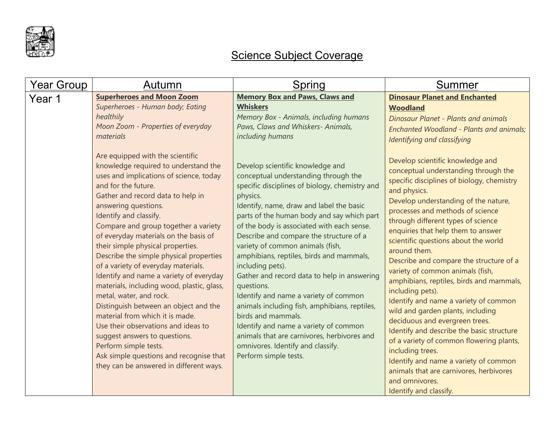

## Science Subject Coverage

| Year Group | Autumn                                                                                                                                                                                                                                                                                                                                                                                                                                                                                                                                                                                                                                                                                                                                                                                       | Spring                                                                                                                                                                                                                                                                                                                                                                                                                                                                                                                                                                                                                                                                                                                                                           | <b>Summer</b>                                                                                                                                                                                                                                                                                                                                                                                                                                                                                                                                                                                                                                                                                                                                                                                                                  |
|------------|----------------------------------------------------------------------------------------------------------------------------------------------------------------------------------------------------------------------------------------------------------------------------------------------------------------------------------------------------------------------------------------------------------------------------------------------------------------------------------------------------------------------------------------------------------------------------------------------------------------------------------------------------------------------------------------------------------------------------------------------------------------------------------------------|------------------------------------------------------------------------------------------------------------------------------------------------------------------------------------------------------------------------------------------------------------------------------------------------------------------------------------------------------------------------------------------------------------------------------------------------------------------------------------------------------------------------------------------------------------------------------------------------------------------------------------------------------------------------------------------------------------------------------------------------------------------|--------------------------------------------------------------------------------------------------------------------------------------------------------------------------------------------------------------------------------------------------------------------------------------------------------------------------------------------------------------------------------------------------------------------------------------------------------------------------------------------------------------------------------------------------------------------------------------------------------------------------------------------------------------------------------------------------------------------------------------------------------------------------------------------------------------------------------|
| Year 1     | <b>Superheroes and Moon Zoom</b><br>Superheroes - Human body; Eating<br>healthily<br>Moon Zoom - Properties of everyday<br>materials<br>Are equipped with the scientific                                                                                                                                                                                                                                                                                                                                                                                                                                                                                                                                                                                                                     | <b>Memory Box and Paws, Claws and</b><br><b>Whiskers</b><br>Memory Box - Animals, including humans<br>Paws, Claws and Whiskers- Animals,<br>including humans                                                                                                                                                                                                                                                                                                                                                                                                                                                                                                                                                                                                     | <b>Dinosaur Planet and Enchanted</b><br><b>Woodland</b><br><b>Dinosaur Planet - Plants and animals</b><br>Enchanted Woodland - Plants and animals;<br>Identifying and classifying<br>Develop scientific knowledge and                                                                                                                                                                                                                                                                                                                                                                                                                                                                                                                                                                                                          |
|            | knowledge required to understand the<br>uses and implications of science, today<br>and for the future.<br>Gather and record data to help in<br>answering questions.<br>Identify and classify.<br>Compare and group together a variety<br>of everyday materials on the basis of<br>their simple physical properties.<br>Describe the simple physical properties<br>of a variety of everyday materials.<br>Identify and name a variety of everyday<br>materials, including wood, plastic, glass,<br>metal, water, and rock.<br>Distinguish between an object and the<br>material from which it is made.<br>Use their observations and ideas to<br>suggest answers to questions.<br>Perform simple tests.<br>Ask simple questions and recognise that<br>they can be answered in different ways. | Develop scientific knowledge and<br>conceptual understanding through the<br>specific disciplines of biology, chemistry and<br>physics.<br>Identify, name, draw and label the basic<br>parts of the human body and say which part<br>of the body is associated with each sense.<br>Describe and compare the structure of a<br>variety of common animals (fish,<br>amphibians, reptiles, birds and mammals,<br>including pets).<br>Gather and record data to help in answering<br>questions.<br>Identify and name a variety of common<br>animals including fish, amphibians, reptiles,<br>birds and mammals.<br>Identify and name a variety of common<br>animals that are carnivores, herbivores and<br>omnivores. Identify and classify.<br>Perform simple tests. | conceptual understanding through the<br>specific disciplines of biology, chemistry<br>and physics.<br>Develop understanding of the nature,<br>processes and methods of science<br>through different types of science<br>enquiries that help them to answer<br>scientific questions about the world<br>around them.<br>Describe and compare the structure of a<br>variety of common animals (fish,<br>amphibians, reptiles, birds and mammals,<br>including pets).<br>Identify and name a variety of common<br>wild and garden plants, including<br>deciduous and evergreen trees.<br>Identify and describe the basic structure<br>of a variety of common flowering plants,<br>including trees.<br>Identify and name a variety of common<br>animals that are carnivores, herbivores<br>and omnivores.<br>Identify and classify. |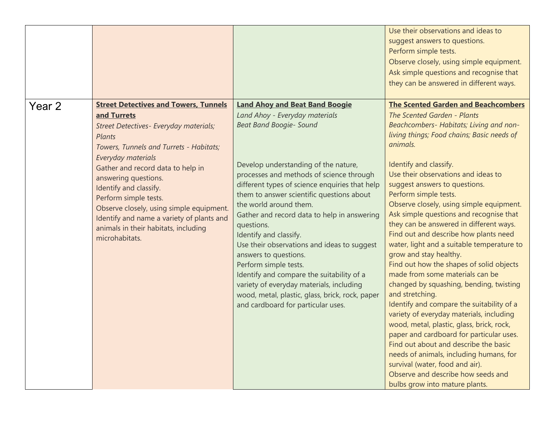|        |                                                                                                                                                                                                                                                                                                                                                                                                                                                     |                                                                                                                                                                                                                                                                                                                                                                                                                                                                                                                                                                                                                                                                                                  | Use their observations and ideas to<br>suggest answers to questions.<br>Perform simple tests.<br>Observe closely, using simple equipment.<br>Ask simple questions and recognise that<br>they can be answered in different ways.                                                                                                                                                                                                                                                                                                                                                                                                                                                                                                                                                                                                                                                                                                                                                                                                                                                            |
|--------|-----------------------------------------------------------------------------------------------------------------------------------------------------------------------------------------------------------------------------------------------------------------------------------------------------------------------------------------------------------------------------------------------------------------------------------------------------|--------------------------------------------------------------------------------------------------------------------------------------------------------------------------------------------------------------------------------------------------------------------------------------------------------------------------------------------------------------------------------------------------------------------------------------------------------------------------------------------------------------------------------------------------------------------------------------------------------------------------------------------------------------------------------------------------|--------------------------------------------------------------------------------------------------------------------------------------------------------------------------------------------------------------------------------------------------------------------------------------------------------------------------------------------------------------------------------------------------------------------------------------------------------------------------------------------------------------------------------------------------------------------------------------------------------------------------------------------------------------------------------------------------------------------------------------------------------------------------------------------------------------------------------------------------------------------------------------------------------------------------------------------------------------------------------------------------------------------------------------------------------------------------------------------|
| Year 2 | <b>Street Detectives and Towers, Tunnels</b><br>and Turrets<br>Street Detectives- Everyday materials;<br>Plants<br>Towers, Tunnels and Turrets - Habitats;<br>Everyday materials<br>Gather and record data to help in<br>answering questions.<br>Identify and classify.<br>Perform simple tests.<br>Observe closely, using simple equipment.<br>Identify and name a variety of plants and<br>animals in their habitats, including<br>microhabitats. | <b>Land Ahoy and Beat Band Boogie</b><br>Land Ahoy - Everyday materials<br><b>Beat Band Boogie- Sound</b><br>Develop understanding of the nature,<br>processes and methods of science through<br>different types of science enquiries that help<br>them to answer scientific questions about<br>the world around them.<br>Gather and record data to help in answering<br>questions.<br>Identify and classify.<br>Use their observations and ideas to suggest<br>answers to questions.<br>Perform simple tests.<br>Identify and compare the suitability of a<br>variety of everyday materials, including<br>wood, metal, plastic, glass, brick, rock, paper<br>and cardboard for particular uses. | <b>The Scented Garden and Beachcombers</b><br>The Scented Garden - Plants<br>Beachcombers- Habitats; Living and non-<br>living things; Food chains; Basic needs of<br>animals.<br>Identify and classify.<br>Use their observations and ideas to<br>suggest answers to questions.<br>Perform simple tests.<br>Observe closely, using simple equipment.<br>Ask simple questions and recognise that<br>they can be answered in different ways.<br>Find out and describe how plants need<br>water, light and a suitable temperature to<br>grow and stay healthy.<br>Find out how the shapes of solid objects<br>made from some materials can be<br>changed by squashing, bending, twisting<br>and stretching.<br>Identify and compare the suitability of a<br>variety of everyday materials, including<br>wood, metal, plastic, glass, brick, rock,<br>paper and cardboard for particular uses.<br>Find out about and describe the basic<br>needs of animals, including humans, for<br>survival (water, food and air).<br>Observe and describe how seeds and<br>bulbs grow into mature plants. |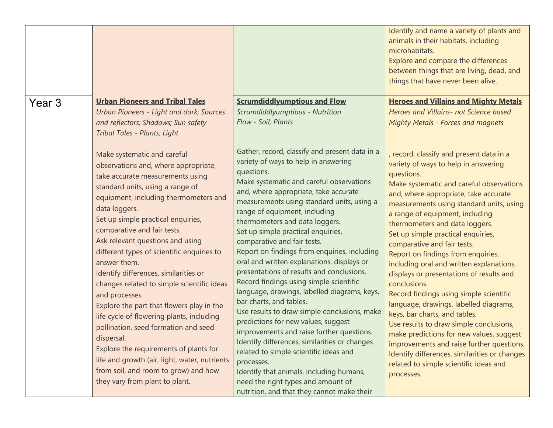|        |                                                                                                                                                                                                                                                                                                                                                                                                                                                                                                                                                                                                                                                                                                                                                                                                                                            |                                                                                                                                                                                                                                                                                                                                                                                                                                                                                                                                                                                                                                                                                                                                                                                                                                                                                                                                                                                                                               | Identify and name a variety of plants and<br>animals in their habitats, including<br>microhabitats.<br>Explore and compare the differences<br>between things that are living, dead, and<br>things that have never been alive.                                                                                                                                                                                                                                                                                                                                                                                                                                                                                                                                                                                                                                                            |
|--------|--------------------------------------------------------------------------------------------------------------------------------------------------------------------------------------------------------------------------------------------------------------------------------------------------------------------------------------------------------------------------------------------------------------------------------------------------------------------------------------------------------------------------------------------------------------------------------------------------------------------------------------------------------------------------------------------------------------------------------------------------------------------------------------------------------------------------------------------|-------------------------------------------------------------------------------------------------------------------------------------------------------------------------------------------------------------------------------------------------------------------------------------------------------------------------------------------------------------------------------------------------------------------------------------------------------------------------------------------------------------------------------------------------------------------------------------------------------------------------------------------------------------------------------------------------------------------------------------------------------------------------------------------------------------------------------------------------------------------------------------------------------------------------------------------------------------------------------------------------------------------------------|------------------------------------------------------------------------------------------------------------------------------------------------------------------------------------------------------------------------------------------------------------------------------------------------------------------------------------------------------------------------------------------------------------------------------------------------------------------------------------------------------------------------------------------------------------------------------------------------------------------------------------------------------------------------------------------------------------------------------------------------------------------------------------------------------------------------------------------------------------------------------------------|
| Year 3 | <b>Urban Pioneers and Tribal Tales</b><br><b>Urban Pioneers - Light and dark; Sources</b><br>and reflectors; Shadows; Sun safety                                                                                                                                                                                                                                                                                                                                                                                                                                                                                                                                                                                                                                                                                                           | <b>Scrumdiddlyumptious and Flow</b><br>Scrumdiddlyumptious - Nutrition<br>Flow - Soil; Plants                                                                                                                                                                                                                                                                                                                                                                                                                                                                                                                                                                                                                                                                                                                                                                                                                                                                                                                                 | <b>Heroes and Villains and Mighty Metals</b><br>Heroes and Villains- not Science based<br><b>Mighty Metals - Forces and magnets</b>                                                                                                                                                                                                                                                                                                                                                                                                                                                                                                                                                                                                                                                                                                                                                      |
|        | Tribal Tales - Plants; Light<br>Make systematic and careful<br>observations and, where appropriate,<br>take accurate measurements using<br>standard units, using a range of<br>equipment, including thermometers and<br>data loggers.<br>Set up simple practical enquiries,<br>comparative and fair tests.<br>Ask relevant questions and using<br>different types of scientific enquiries to<br>answer them.<br>Identify differences, similarities or<br>changes related to simple scientific ideas<br>and processes.<br>Explore the part that flowers play in the<br>life cycle of flowering plants, including<br>pollination, seed formation and seed<br>dispersal.<br>Explore the requirements of plants for<br>life and growth (air, light, water, nutrients<br>from soil, and room to grow) and how<br>they vary from plant to plant. | Gather, record, classify and present data in a<br>variety of ways to help in answering<br>questions.<br>Make systematic and careful observations<br>and, where appropriate, take accurate<br>measurements using standard units, using a<br>range of equipment, including<br>thermometers and data loggers.<br>Set up simple practical enquiries,<br>comparative and fair tests.<br>Report on findings from enquiries, including<br>oral and written explanations, displays or<br>presentations of results and conclusions.<br>Record findings using simple scientific<br>language, drawings, labelled diagrams, keys,<br>bar charts, and tables.<br>Use results to draw simple conclusions, make<br>predictions for new values, suggest<br>improvements and raise further questions.<br>Identify differences, similarities or changes<br>related to simple scientific ideas and<br>processes.<br>Identify that animals, including humans,<br>need the right types and amount of<br>nutrition, and that they cannot make their | record, classify and present data in a<br>variety of ways to help in answering<br>questions.<br>Make systematic and careful observations<br>and, where appropriate, take accurate<br>measurements using standard units, using<br>a range of equipment, including<br>thermometers and data loggers.<br>Set up simple practical enquiries,<br>comparative and fair tests.<br>Report on findings from enquiries,<br>including oral and written explanations,<br>displays or presentations of results and<br>conclusions.<br>Record findings using simple scientific<br>language, drawings, labelled diagrams,<br>keys, bar charts, and tables.<br>Use results to draw simple conclusions,<br>make predictions for new values, suggest<br>improvements and raise further questions.<br>Identify differences, similarities or changes<br>related to simple scientific ideas and<br>processes. |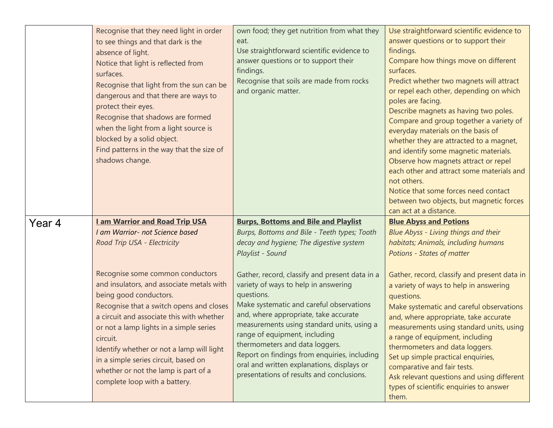|        | Recognise that they need light in order<br>to see things and that dark is the<br>absence of light.<br>Notice that light is reflected from<br>surfaces.<br>Recognise that light from the sun can be<br>dangerous and that there are ways to<br>protect their eyes.<br>Recognise that shadows are formed<br>when the light from a light source is<br>blocked by a solid object.<br>Find patterns in the way that the size of<br>shadows change. | own food; they get nutrition from what they<br>eat.<br>Use straightforward scientific evidence to<br>answer questions or to support their<br>findings.<br>Recognise that soils are made from rocks<br>and organic matter. | Use straightforward scientific evidence to<br>answer questions or to support their<br>findings.<br>Compare how things move on different<br>surfaces.<br>Predict whether two magnets will attract<br>or repel each other, depending on which<br>poles are facing.<br>Describe magnets as having two poles.<br>Compare and group together a variety of<br>everyday materials on the basis of<br>whether they are attracted to a magnet,<br>and identify some magnetic materials.<br>Observe how magnets attract or repel<br>each other and attract some materials and<br>not others.<br>Notice that some forces need contact<br>between two objects, but magnetic forces<br>can act at a distance. |
|--------|-----------------------------------------------------------------------------------------------------------------------------------------------------------------------------------------------------------------------------------------------------------------------------------------------------------------------------------------------------------------------------------------------------------------------------------------------|---------------------------------------------------------------------------------------------------------------------------------------------------------------------------------------------------------------------------|--------------------------------------------------------------------------------------------------------------------------------------------------------------------------------------------------------------------------------------------------------------------------------------------------------------------------------------------------------------------------------------------------------------------------------------------------------------------------------------------------------------------------------------------------------------------------------------------------------------------------------------------------------------------------------------------------|
| Year 4 | <b>Lam Warrior and Road Trip USA</b><br>I am Warrior- not Science based                                                                                                                                                                                                                                                                                                                                                                       | <b>Burps, Bottoms and Bile and Playlist</b><br>Burps, Bottoms and Bile - Teeth types; Tooth                                                                                                                               | <b>Blue Abyss and Potions</b><br><b>Blue Abyss - Living things and their</b>                                                                                                                                                                                                                                                                                                                                                                                                                                                                                                                                                                                                                     |
|        | Road Trip USA - Electricity                                                                                                                                                                                                                                                                                                                                                                                                                   | decay and hygiene; The digestive system                                                                                                                                                                                   | habitats; Animals, including humans                                                                                                                                                                                                                                                                                                                                                                                                                                                                                                                                                                                                                                                              |
|        |                                                                                                                                                                                                                                                                                                                                                                                                                                               |                                                                                                                                                                                                                           |                                                                                                                                                                                                                                                                                                                                                                                                                                                                                                                                                                                                                                                                                                  |
|        |                                                                                                                                                                                                                                                                                                                                                                                                                                               | Playlist - Sound                                                                                                                                                                                                          | Potions - States of matter                                                                                                                                                                                                                                                                                                                                                                                                                                                                                                                                                                                                                                                                       |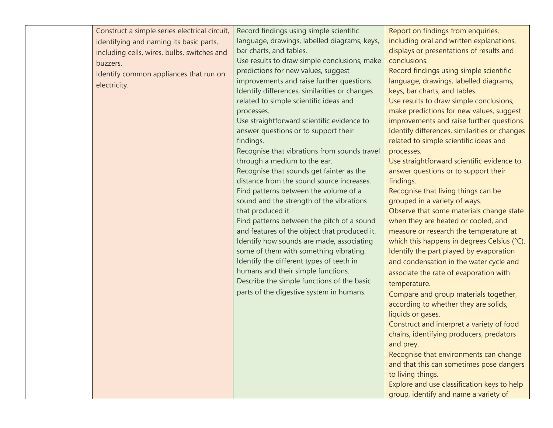| Construct a simple series electrical circuit,<br>identifying and naming its basic parts,<br>including cells, wires, bulbs, switches and<br>buzzers.<br>Identify common appliances that run on<br>electricity. | Record findings using simple scientific<br>language, drawings, labelled diagrams, keys,<br>bar charts, and tables.<br>Use results to draw simple conclusions, make<br>predictions for new values, suggest<br>improvements and raise further questions.<br>Identify differences, similarities or changes<br>related to simple scientific ideas and<br>processes.<br>Use straightforward scientific evidence to<br>answer questions or to support their<br>findings.<br>Recognise that vibrations from sounds travel<br>through a medium to the ear.<br>Recognise that sounds get fainter as the<br>distance from the sound source increases.<br>Find patterns between the volume of a<br>sound and the strength of the vibrations<br>that produced it.<br>Find patterns between the pitch of a sound<br>and features of the object that produced it.<br>Identify how sounds are made, associating<br>some of them with something vibrating.<br>Identify the different types of teeth in<br>humans and their simple functions.<br>Describe the simple functions of the basic<br>parts of the digestive system in humans. | Report on findings from enquiries,<br>including oral and written explanations,<br>displays or presentations of results and<br>conclusions.<br>Record findings using simple scientific<br>language, drawings, labelled diagrams,<br>keys, bar charts, and tables.<br>Use results to draw simple conclusions,<br>make predictions for new values, suggest<br>improvements and raise further questions.<br>Identify differences, similarities or changes<br>related to simple scientific ideas and<br>processes.<br>Use straightforward scientific evidence to<br>answer questions or to support their<br>findings.<br>Recognise that living things can be<br>grouped in a variety of ways.<br>Observe that some materials change state<br>when they are heated or cooled, and<br>measure or research the temperature at<br>which this happens in degrees Celsius (°C).<br>Identify the part played by evaporation<br>and condensation in the water cycle and<br>associate the rate of evaporation with<br>temperature.<br>Compare and group materials together,<br>according to whether they are solids,<br>liquids or gases.<br>Construct and interpret a variety of food<br>chains, identifying producers, predators<br>and prey.<br>Recognise that environments can change<br>and that this can sometimes pose dangers<br>to living things.<br>Explore and use classification keys to help<br>group, identify and name a variety of |
|---------------------------------------------------------------------------------------------------------------------------------------------------------------------------------------------------------------|------------------------------------------------------------------------------------------------------------------------------------------------------------------------------------------------------------------------------------------------------------------------------------------------------------------------------------------------------------------------------------------------------------------------------------------------------------------------------------------------------------------------------------------------------------------------------------------------------------------------------------------------------------------------------------------------------------------------------------------------------------------------------------------------------------------------------------------------------------------------------------------------------------------------------------------------------------------------------------------------------------------------------------------------------------------------------------------------------------------------|--------------------------------------------------------------------------------------------------------------------------------------------------------------------------------------------------------------------------------------------------------------------------------------------------------------------------------------------------------------------------------------------------------------------------------------------------------------------------------------------------------------------------------------------------------------------------------------------------------------------------------------------------------------------------------------------------------------------------------------------------------------------------------------------------------------------------------------------------------------------------------------------------------------------------------------------------------------------------------------------------------------------------------------------------------------------------------------------------------------------------------------------------------------------------------------------------------------------------------------------------------------------------------------------------------------------------------------------------------------------------------------------------------------------------------------|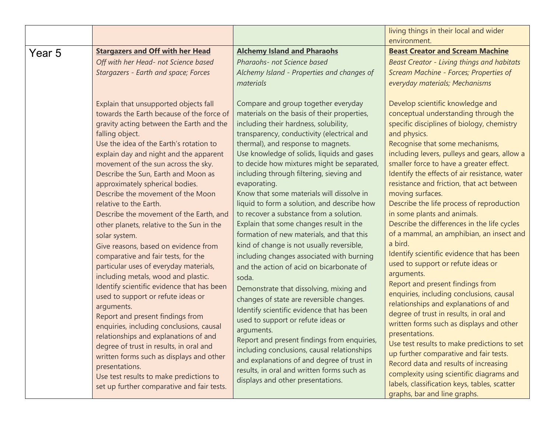|        |                                                                                                                                                                                                                                                                                                                                                                                                                                                                                                                                                                                                                                                                                                                                                                                                                                                                                                                                                                                                                                                                                                                              |                                                                                                                                                                                                                                                                                                                                                                                                                                                                                                                                                                                                                                                                                                                                                                                                                                                                                                                                                                                                                                                                                                                                                                               | living things in their local and wider<br>environment.                                                                                                                                                                                                                                                                                                                                                                                                                                                                                                                                                                                                                                                                                                                                                                                                                                                                                                                                                                                                                                                                                     |
|--------|------------------------------------------------------------------------------------------------------------------------------------------------------------------------------------------------------------------------------------------------------------------------------------------------------------------------------------------------------------------------------------------------------------------------------------------------------------------------------------------------------------------------------------------------------------------------------------------------------------------------------------------------------------------------------------------------------------------------------------------------------------------------------------------------------------------------------------------------------------------------------------------------------------------------------------------------------------------------------------------------------------------------------------------------------------------------------------------------------------------------------|-------------------------------------------------------------------------------------------------------------------------------------------------------------------------------------------------------------------------------------------------------------------------------------------------------------------------------------------------------------------------------------------------------------------------------------------------------------------------------------------------------------------------------------------------------------------------------------------------------------------------------------------------------------------------------------------------------------------------------------------------------------------------------------------------------------------------------------------------------------------------------------------------------------------------------------------------------------------------------------------------------------------------------------------------------------------------------------------------------------------------------------------------------------------------------|--------------------------------------------------------------------------------------------------------------------------------------------------------------------------------------------------------------------------------------------------------------------------------------------------------------------------------------------------------------------------------------------------------------------------------------------------------------------------------------------------------------------------------------------------------------------------------------------------------------------------------------------------------------------------------------------------------------------------------------------------------------------------------------------------------------------------------------------------------------------------------------------------------------------------------------------------------------------------------------------------------------------------------------------------------------------------------------------------------------------------------------------|
| Year 5 | <b>Stargazers and Off with her Head</b>                                                                                                                                                                                                                                                                                                                                                                                                                                                                                                                                                                                                                                                                                                                                                                                                                                                                                                                                                                                                                                                                                      | <b>Alchemy Island and Pharaohs</b>                                                                                                                                                                                                                                                                                                                                                                                                                                                                                                                                                                                                                                                                                                                                                                                                                                                                                                                                                                                                                                                                                                                                            | <b>Beast Creator and Scream Machine</b>                                                                                                                                                                                                                                                                                                                                                                                                                                                                                                                                                                                                                                                                                                                                                                                                                                                                                                                                                                                                                                                                                                    |
|        | Off with her Head- not Science based<br>Stargazers - Earth and space; Forces                                                                                                                                                                                                                                                                                                                                                                                                                                                                                                                                                                                                                                                                                                                                                                                                                                                                                                                                                                                                                                                 | Pharaohs- not Science based<br>Alchemy Island - Properties and changes of<br>materials                                                                                                                                                                                                                                                                                                                                                                                                                                                                                                                                                                                                                                                                                                                                                                                                                                                                                                                                                                                                                                                                                        | <b>Beast Creator - Living things and habitats</b><br>Scream Machine - Forces; Properties of<br>everyday materials; Mechanisms                                                                                                                                                                                                                                                                                                                                                                                                                                                                                                                                                                                                                                                                                                                                                                                                                                                                                                                                                                                                              |
|        | Explain that unsupported objects fall<br>towards the Earth because of the force of<br>gravity acting between the Earth and the<br>falling object.<br>Use the idea of the Earth's rotation to<br>explain day and night and the apparent<br>movement of the sun across the sky.<br>Describe the Sun, Earth and Moon as<br>approximately spherical bodies.<br>Describe the movement of the Moon<br>relative to the Earth.<br>Describe the movement of the Earth, and<br>other planets, relative to the Sun in the<br>solar system.<br>Give reasons, based on evidence from<br>comparative and fair tests, for the<br>particular uses of everyday materials,<br>including metals, wood and plastic.<br>Identify scientific evidence that has been<br>used to support or refute ideas or<br>arguments.<br>Report and present findings from<br>enquiries, including conclusions, causal<br>relationships and explanations of and<br>degree of trust in results, in oral and<br>written forms such as displays and other<br>presentations.<br>Use test results to make predictions to<br>set up further comparative and fair tests. | Compare and group together everyday<br>materials on the basis of their properties,<br>including their hardness, solubility,<br>transparency, conductivity (electrical and<br>thermal), and response to magnets.<br>Use knowledge of solids, liquids and gases<br>to decide how mixtures might be separated,<br>including through filtering, sieving and<br>evaporating.<br>Know that some materials will dissolve in<br>liquid to form a solution, and describe how<br>to recover a substance from a solution.<br>Explain that some changes result in the<br>formation of new materials, and that this<br>kind of change is not usually reversible,<br>including changes associated with burning<br>and the action of acid on bicarbonate of<br>soda.<br>Demonstrate that dissolving, mixing and<br>changes of state are reversible changes.<br>Identify scientific evidence that has been<br>used to support or refute ideas or<br>arguments.<br>Report and present findings from enquiries,<br>including conclusions, causal relationships<br>and explanations of and degree of trust in<br>results, in oral and written forms such as<br>displays and other presentations. | Develop scientific knowledge and<br>conceptual understanding through the<br>specific disciplines of biology, chemistry<br>and physics.<br>Recognise that some mechanisms,<br>including levers, pulleys and gears, allow a<br>smaller force to have a greater effect.<br>Identify the effects of air resistance, water<br>resistance and friction, that act between<br>moving surfaces.<br>Describe the life process of reproduction<br>in some plants and animals.<br>Describe the differences in the life cycles<br>of a mammal, an amphibian, an insect and<br>a bird.<br>Identify scientific evidence that has been<br>used to support or refute ideas or<br>arguments.<br>Report and present findings from<br>enquiries, including conclusions, causal<br>relationships and explanations of and<br>degree of trust in results, in oral and<br>written forms such as displays and other<br>presentations.<br>Use test results to make predictions to set<br>up further comparative and fair tests.<br>Record data and results of increasing<br>complexity using scientific diagrams and<br>labels, classification keys, tables, scatter |
|        |                                                                                                                                                                                                                                                                                                                                                                                                                                                                                                                                                                                                                                                                                                                                                                                                                                                                                                                                                                                                                                                                                                                              |                                                                                                                                                                                                                                                                                                                                                                                                                                                                                                                                                                                                                                                                                                                                                                                                                                                                                                                                                                                                                                                                                                                                                                               | graphs, bar and line graphs.                                                                                                                                                                                                                                                                                                                                                                                                                                                                                                                                                                                                                                                                                                                                                                                                                                                                                                                                                                                                                                                                                                               |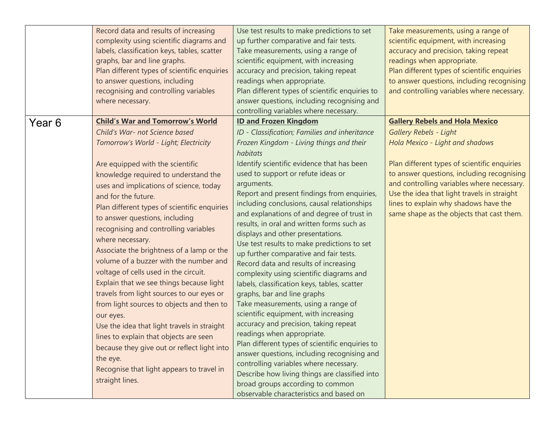|        | Record data and results of increasing<br>complexity using scientific diagrams and<br>labels, classification keys, tables, scatter<br>graphs, bar and line graphs.<br>Plan different types of scientific enquiries<br>to answer questions, including<br>recognising and controlling variables<br>where necessary.                                                                                                                                                                                                                                                                                                                                                                                   | Use test results to make predictions to set<br>up further comparative and fair tests.<br>Take measurements, using a range of<br>scientific equipment, with increasing<br>accuracy and precision, taking repeat<br>readings when appropriate.<br>Plan different types of scientific enquiries to<br>answer questions, including recognising and<br>controlling variables where necessary.                                                                                                                                                                                                                                                                                                                                                                                                                            | Take measurements, using a range of<br>scientific equipment, with increasing<br>accuracy and precision, taking repeat<br>readings when appropriate.<br>Plan different types of scientific enquiries<br>to answer questions, including recognising<br>and controlling variables where necessary.                                                                                            |
|--------|----------------------------------------------------------------------------------------------------------------------------------------------------------------------------------------------------------------------------------------------------------------------------------------------------------------------------------------------------------------------------------------------------------------------------------------------------------------------------------------------------------------------------------------------------------------------------------------------------------------------------------------------------------------------------------------------------|---------------------------------------------------------------------------------------------------------------------------------------------------------------------------------------------------------------------------------------------------------------------------------------------------------------------------------------------------------------------------------------------------------------------------------------------------------------------------------------------------------------------------------------------------------------------------------------------------------------------------------------------------------------------------------------------------------------------------------------------------------------------------------------------------------------------|--------------------------------------------------------------------------------------------------------------------------------------------------------------------------------------------------------------------------------------------------------------------------------------------------------------------------------------------------------------------------------------------|
| Year 6 | <b>Child's War and Tomorrow's World</b><br>Child's War- not Science based<br>Tomorrow's World - Light; Electricity<br>Are equipped with the scientific<br>knowledge required to understand the<br>uses and implications of science, today<br>and for the future.<br>Plan different types of scientific enquiries<br>to answer questions, including<br>recognising and controlling variables<br>where necessary.<br>Associate the brightness of a lamp or the<br>volume of a buzzer with the number and<br>voltage of cells used in the circuit.<br>Explain that we see things because light<br>travels from light sources to our eyes or<br>from light sources to objects and then to<br>our eyes. | <b>ID and Frozen Kingdom</b><br>ID - Classification; Families and inheritance<br>Frozen Kingdom - Living things and their<br>habitats<br>Identify scientific evidence that has been<br>used to support or refute ideas or<br>arguments.<br>Report and present findings from enquiries,<br>including conclusions, causal relationships<br>and explanations of and degree of trust in<br>results, in oral and written forms such as<br>displays and other presentations.<br>Use test results to make predictions to set<br>up further comparative and fair tests.<br>Record data and results of increasing<br>complexity using scientific diagrams and<br>labels, classification keys, tables, scatter<br>graphs, bar and line graphs<br>Take measurements, using a range of<br>scientific equipment, with increasing | <b>Gallery Rebels and Hola Mexico</b><br><b>Gallery Rebels - Light</b><br>Hola Mexico - Light and shadows<br>Plan different types of scientific enquiries<br>to answer questions, including recognising<br>and controlling variables where necessary.<br>Use the idea that light travels in straight<br>lines to explain why shadows have the<br>same shape as the objects that cast them. |
|        | Use the idea that light travels in straight<br>lines to explain that objects are seen<br>because they give out or reflect light into<br>the eye.<br>Recognise that light appears to travel in<br>straight lines.                                                                                                                                                                                                                                                                                                                                                                                                                                                                                   | accuracy and precision, taking repeat<br>readings when appropriate.<br>Plan different types of scientific enquiries to<br>answer questions, including recognising and<br>controlling variables where necessary.<br>Describe how living things are classified into<br>broad groups according to common<br>observable characteristics and based on                                                                                                                                                                                                                                                                                                                                                                                                                                                                    |                                                                                                                                                                                                                                                                                                                                                                                            |